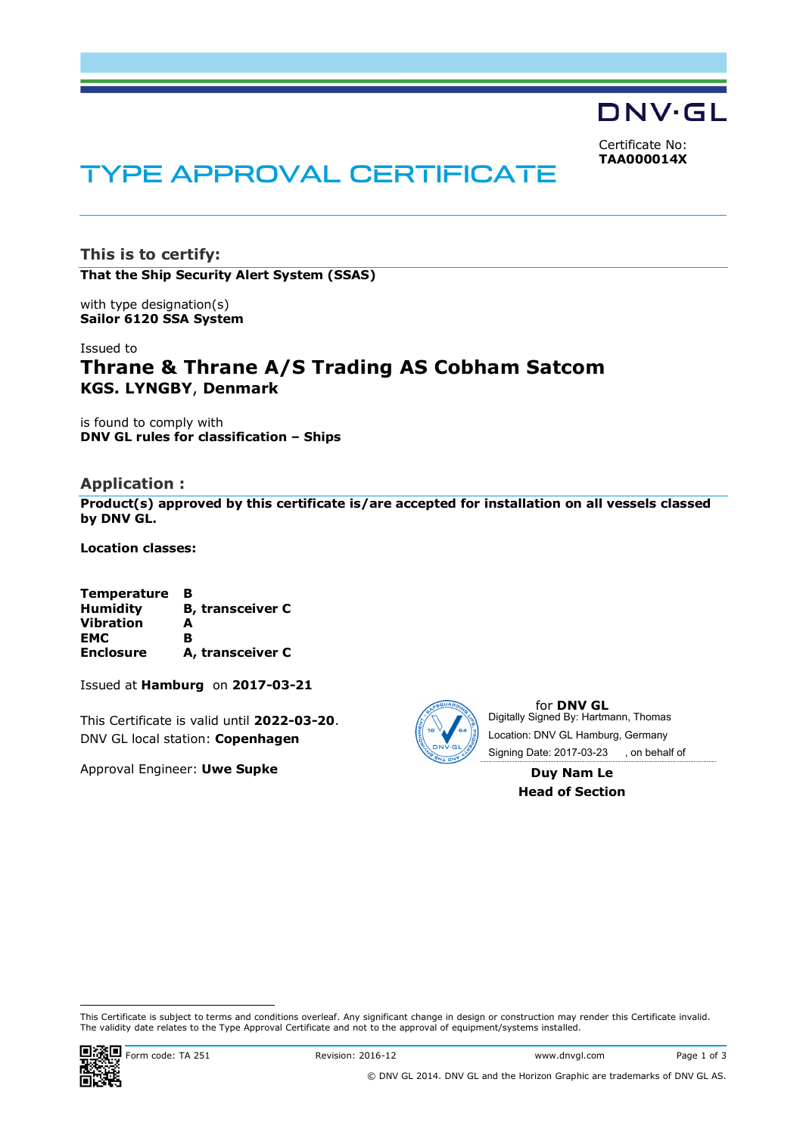DNV·GL

Certificate No: **TAA000014X**

# TYPE APPROVAL CERTIFICATE

**This is to certify: That the Ship Security Alert System (SSAS)**

with type designation(s) **Sailor 6120 SSA System**

# Issued to **Thrane & Thrane A/S Trading AS Cobham Satcom KGS. LYNGBY**, **Denmark**

is found to comply with **DNV GL rules for classification – Ships**

## **Application :**

**Product(s) approved by this certificate is/are accepted for installation on all vessels classed by DNV GL.**

**Location classes:**

| <b>Temperature</b> | в                       |
|--------------------|-------------------------|
| <b>Humidity</b>    | <b>B, transceiver C</b> |
| <b>Vibration</b>   | A                       |
| <b>EMC</b>         | в                       |
| <b>Enclosure</b>   | A, transceiver C        |

Issued at **Hamburg** on **2017-03-21**

This Certificate is valid until **2022-03-20**. DNV GL local station: **Copenhagen**

Approval Engineer: **Uwe Supke**



for **DNV GL** Digitally Signed By: Hartmann, Thomas Signing Date: 2017-03-23 , on behalf ofLocation: DNV GL Hamburg, Germany

> **Duy Nam Le Head of Section**

This Certificate is subject to terms and conditions overleaf. Any significant change in design or construction may render this Certificate invalid. The validity date relates to the Type Approval Certificate and not to the approval of equipment/systems installed.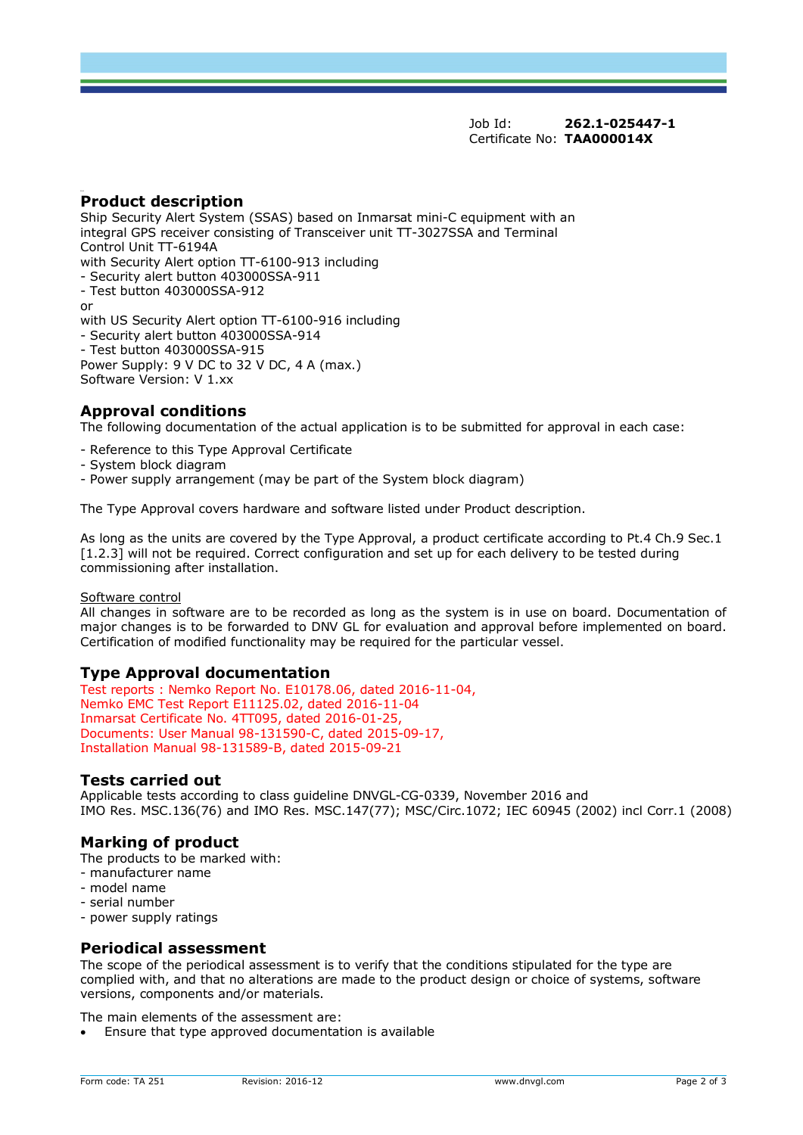Job Id: **262.1-025447-1** Certificate No: **TAA000014X**

## **Product description**

Ship Security Alert System (SSAS) based on Inmarsat mini-C equipment with an integral GPS receiver consisting of Transceiver unit TT-3027SSA and Terminal Control Unit TT-6194A with Security Alert option TT-6100-913 including - Security alert button 403000SSA-911 - Test button 403000SSA-912 or with US Security Alert option TT-6100-916 including - Security alert button 403000SSA-914 - Test button 403000SSA-915 Power Supply: 9 V DC to 32 V DC, 4 A (max.) Software Version: V 1.xx

## **Approval conditions**

The following documentation of the actual application is to be submitted for approval in each case:

- Reference to this Type Approval Certificate
- System block diagram
- Power supply arrangement (may be part of the System block diagram)

The Type Approval covers hardware and software listed under Product description.

As long as the units are covered by the Type Approval, a product certificate according to Pt.4 Ch.9 Sec.1 [1.2.3] will not be required. Correct configuration and set up for each delivery to be tested during commissioning after installation.

#### Software control

All changes in software are to be recorded as long as the system is in use on board. Documentation of major changes is to be forwarded to DNV GL for evaluation and approval before implemented on board. Certification of modified functionality may be required for the particular vessel.

## **Type Approval documentation**

Test reports : Nemko Report No. E10178.06, dated 2016-11-04, Nemko EMC Test Report E11125.02, dated 2016-11-04 Inmarsat Certificate No. 4TT095, dated 2016-01-25, Documents: User Manual 98-131590-C, dated 2015-09-17, Installation Manual 98-131589-B, dated 2015-09-21

## **Tests carried out**

Applicable tests according to class guideline DNVGL-CG-0339, November 2016 and IMO Res. MSC.136(76) and IMO Res. MSC.147(77); MSC/Circ.1072; IEC 60945 (2002) incl Corr.1 (2008)

## **Marking of product**

The products to be marked with:

- manufacturer name
- model name
- serial number
- power supply ratings

## **Periodical assessment**

The scope of the periodical assessment is to verify that the conditions stipulated for the type are complied with, and that no alterations are made to the product design or choice of systems, software versions, components and/or materials.

The main elements of the assessment are:

Ensure that type approved documentation is available